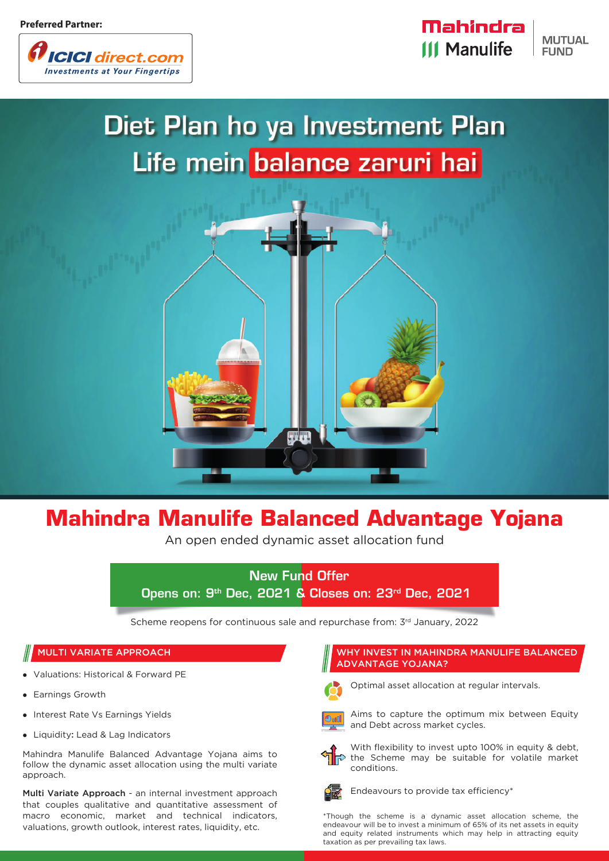

Mahindra **MUTUAL III Manulife FUND** 

# Diet Plan ho ya Investment Plan Life mein balance zaruri hai



## **Mahindra Manulife Balanced Advantage Yojana**

An open ended dynamic asset allocation fund

## New Fund Offer Opens on: 9th Dec, 2021 & Closes on: 23rd Dec, 2021

Scheme reopens for continuous sale and repurchase from: 3rd January, 2022

- Valuations: Historical & Forward PE
- Earnings Growth
- Interest Rate Vs Earnings Yields
- Liquidity: Lead & Lag Indicators

Mahindra Manulife Balanced Advantage Yojana aims to follow the dynamic asset allocation using the multi variate approach.

Multi Variate Approach - an internal investment approach that couples qualitative and quantitative assessment of macro economic, market and technical indicators, valuations, growth outlook, interest rates, liquidity, etc.

## MULTI VARIATE APPROACH WHY INVEST IN MAHINDRA MANULIFE BALANCED ADVANTAGE YOJANA?



Optimal asset allocation at regular intervals.



Aims to capture the optimum mix between Equity and Debt across market cycles.



With flexibility to invest upto 100% in equity & debt, the Scheme may be suitable for volatile market conditions.



Endeavours to provide tax efficiency\*

\*Though the scheme is a dynamic asset allocation scheme, the endeavour will be to invest a minimum of 65% of its net assets in equity and equity related instruments which may help in attracting equity taxation as per prevailing tax laws.